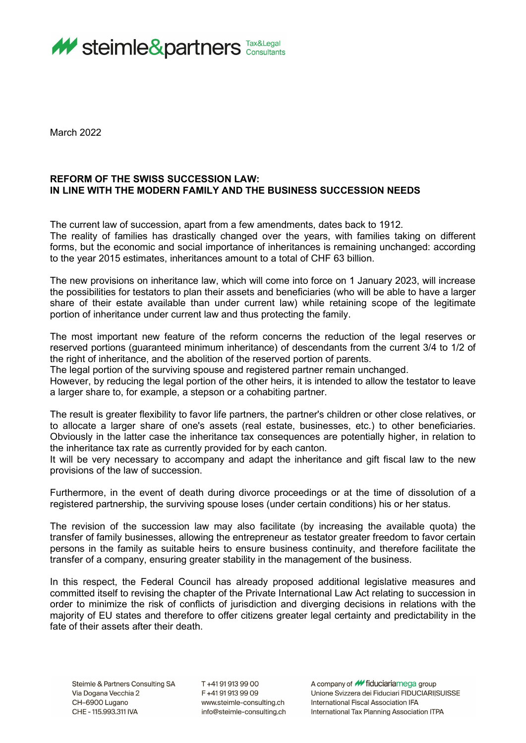

March 2022

## **REFORM OF THE SWISS SUCCESSION LAW: IN LINE WITH THE MODERN FAMILY AND THE BUSINESS SUCCESSION NEEDS**

The current law of succession, apart from a few amendments, dates back to 1912.

The reality of families has drastically changed over the years, with families taking on different forms, but the economic and social importance of inheritances is remaining unchanged: according to the year 2015 estimates, inheritances amount to a total of CHF 63 billion.

The new provisions on inheritance law, which will come into force on 1 January 2023, will increase the possibilities for testators to plan their assets and beneficiaries (who will be able to have a larger share of their estate available than under current law) while retaining scope of the legitimate portion of inheritance under current law and thus protecting the family.

The most important new feature of the reform concerns the reduction of the legal reserves or reserved portions (guaranteed minimum inheritance) of descendants from the current 3/4 to 1/2 of the right of inheritance, and the abolition of the reserved portion of parents.

The legal portion of the surviving spouse and registered partner remain unchanged.

However, by reducing the legal portion of the other heirs, it is intended to allow the testator to leave a larger share to, for example, a stepson or a cohabiting partner.

The result is greater flexibility to favor life partners, the partner's children or other close relatives, or to allocate a larger share of one's assets (real estate, businesses, etc.) to other beneficiaries. Obviously in the latter case the inheritance tax consequences are potentially higher, in relation to the inheritance tax rate as currently provided for by each canton.

It will be very necessary to accompany and adapt the inheritance and gift fiscal law to the new provisions of the law of succession.

Furthermore, in the event of death during divorce proceedings or at the time of dissolution of a registered partnership, the surviving spouse loses (under certain conditions) his or her status.

The revision of the succession law may also facilitate (by increasing the available quota) the transfer of family businesses, allowing the entrepreneur as testator greater freedom to favor certain persons in the family as suitable heirs to ensure business continuity, and therefore facilitate the transfer of a company, ensuring greater stability in the management of the business.

In this respect, the Federal Council has already proposed additional legislative measures and committed itself to revising the chapter of the Private International Law Act relating to succession in order to minimize the risk of conflicts of jurisdiction and diverging decisions in relations with the majority of EU states and therefore to offer citizens greater legal certainty and predictability in the fate of their assets after their death

T+41919139900 F+41919139909 www.steimle-consulting.ch info@steimle-consulting.ch